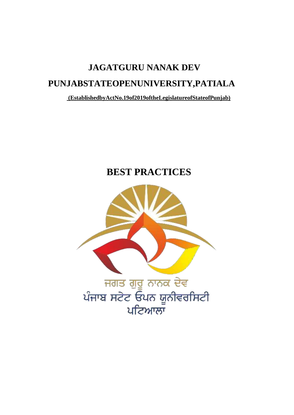# **JAGATGURU NANAK DEV** PUNJABSTATEOPENUNIVERSITY, PATIALA

(EstablishedbyActNo.19of2019oftheLegislatureofStateofPunjab)

## **BEST PRACTICES**

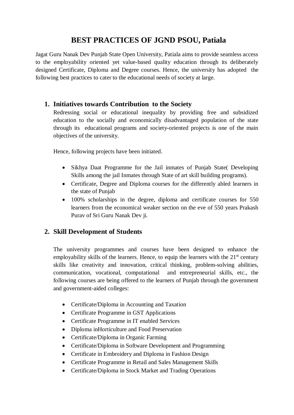### **BEST PRACTICES OF JGND PSOU, Patiala**

Jagat Guru Nanak Dev Punjab State Open University, Patiala aims to provide seamless access to the employability oriented yet value-based quality education through its deliberately designed Certificate, Diploma and Degree courses. Hence, the university has adopted the following best practices to cater to the educational needs of society at large.

#### **1. Initiatives towards Contribution to the Society**

Redressing social or educational inequality by providing free and subsidized education to the socially and economically disadvantaged population of the state through its educational programs and society-oriented projects is one of the main objectives of the university.

Hence, following projects have been initiated.

- Sikhya Daat Programme for the Jail inmates of Punjab State( Developing Skills among the jail Inmates through State of art skill building programs).
- Certificate, Degree and Diploma courses for the differently abled learners in the state of Punjab
- 100% scholarships in the degree, diploma and certificate courses for 550 learners from the economical weaker section on the eve of 550 years Prakash Purav of Sri Guru Nanak Dev ji.

#### **2. Skill Development of Students**

The university programmes and courses have been designed to enhance the employability skills of the learners. Hence, to equip the learners with the  $21<sup>st</sup>$  century skills like creativity and innovation, critical thinking, problem-solving abilities, communication, vocational, computational and entrepreneurial skills, etc., the following courses are being offered to the learners of Punjab through the government and government-aided colleges:

- Certificate/Diploma in Accounting and Taxation
- Certificate Programme in GST Applications
- Certificate Programme in IT enabled Services
- Diploma inHorticulture and Food Preservation
- Certificate/Diploma in Organic Farming
- Certificate/Diploma in Software Development and Programming
- Certificate in Embroidery and Diploma in Fashion Design
- Certificate Programme in Retail and Sales Management Skills
- Certificate/Diploma in Stock Market and Trading Operations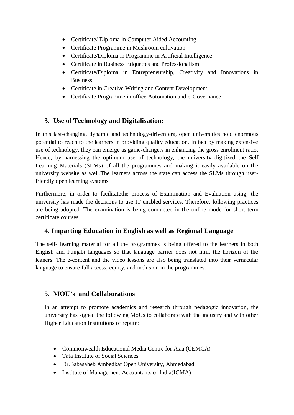- Certificate/ Diploma in Computer Aided Accounting
- Certificate Programme in Mushroom cultivation
- Certificate/Diploma in Programme in Artificial Intelligence
- Certificate in Business Etiquettes and Professionalism
- Certificate/Diploma in Entrepreneurship, Creativity and Innovations in Business
- Certificate in Creative Writing and Content Development
- Certificate Programme in office Automation and e-Governance

#### **3. Use of Technology and Digitalisation:**

In this fast-changing, dynamic and technology-driven era, open universities hold enormous potential to reach to the learners in providing quality education. In fact by making extensive use of technology, they can emerge as game-changers in enhancing the gross enrolment ratio. Hence, by harnessing the optimum use of technology, the university digitized the Self Learning Materials (SLMs) of all the programmes and making it easily available on the university website as well.The learners across the state can access the SLMs through userfriendly open learning systems.

Furthermore, in order to facilitatethe process of Examination and Evaluation using, the university has made the decisions to use IT enabled services. Therefore, following practices are being adopted. The examination is being conducted in the online mode for short term certificate courses.

#### **4. Imparting Education in English as well as Regional Language**

The self- learning material for all the programmes is being offered to the learners in both English and Punjabi languages so that language barrier does not limit the horizon of the leaners. The e-content and the video lessons are also being translated into their vernacular language to ensure full access, equity, and inclusion in the programmes.

#### **5. MOU's and Collaborations**

In an attempt to promote academics and research through pedagogic innovation, the university has signed the following MoUs to collaborate with the industry and with other Higher Education Institutions of repute:

- Commonwealth Educational Media Centre for Asia (CEMCA)
- Tata Institute of Social Sciences
- Dr.Babasaheb Ambedkar Open University, Ahmedabad
- Institute of Management Accountants of India(ICMA)